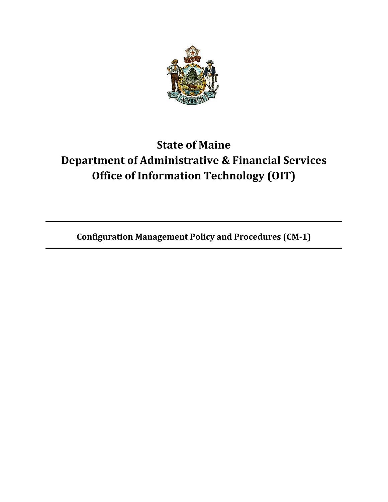

## **State of Maine Department of Administrative & Financial Services Office of Information Technology (OIT)**

**Configuration Management Policy and Procedures (CM-1)**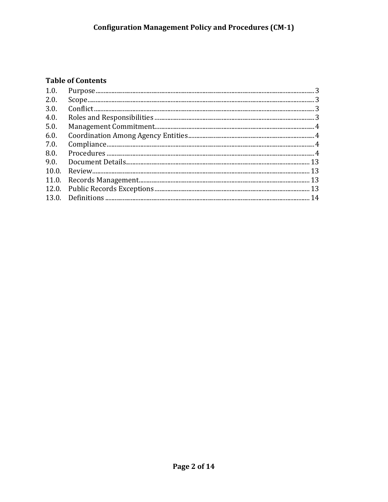## **Table of Contents**

| 1.0.  |  |
|-------|--|
| 2.0.  |  |
| 3.0.  |  |
| 4.0.  |  |
| 5.0.  |  |
| 6.0.  |  |
| 7.0.  |  |
| 8.0.  |  |
| 9.0.  |  |
| 10.0. |  |
|       |  |
|       |  |
|       |  |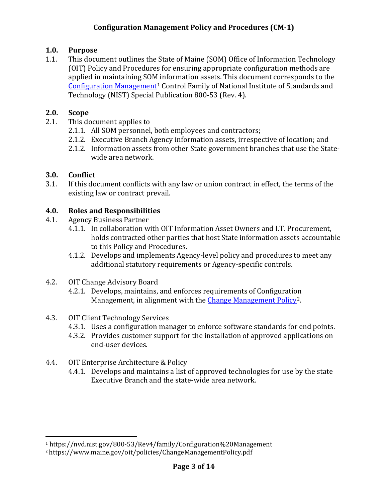## <span id="page-2-0"></span>**1.0. Purpose**

1.1. This document outlines the State of Maine (SOM) Office of Information Technology (OIT) Policy and Procedures for ensuring appropriate configuration methods are applied in maintaining SOM information assets. This document corresponds to the [Configuration Management](https://nvd.nist.gov/800-53/Rev4/family/Configuration%20Management)[1](#page-2-4) Control Family of National Institute of Standards and Technology (NIST) Special Publication 800-53 (Rev. 4).

## <span id="page-2-1"></span>**2.0. Scope**

- 2.1. This document applies to
	- 2.1.1. All SOM personnel, both employees and contractors;
	- 2.1.2. Executive Branch Agency information assets, irrespective of location; and
	- 2.1.2. Information assets from other State government branches that use the Statewide area network.

## <span id="page-2-2"></span>**3.0. Conflict**

3.1. If this document conflicts with any law or union contract in effect, the terms of the existing law or contract prevail.

## <span id="page-2-3"></span>**4.0. Roles and Responsibilities**

- 4.1. Agency Business Partner
	- 4.1.1. In collaboration with OIT Information Asset Owners and I.T. Procurement, holds contracted other parties that host State information assets accountable to this Policy and Procedures.
	- 4.1.2. Develops and implements Agency-level policy and procedures to meet any additional statutory requirements or Agency-specific controls.
- 4.2. OIT Change Advisory Board
	- 4.2.1. Develops, maintains, and enforces requirements of Configuration Management, in alignment with the [Change Management Policy](https://www.maine.gov/oit/policies/ChangeManagementPolicy.pdf)<sup>[2](#page-2-5)</sup>.
- 4.3. OIT Client Technology Services
	- 4.3.1. Uses a configuration manager to enforce software standards for end points.
	- 4.3.2. Provides customer support for the installation of approved applications on end-user devices.
- 4.4. OIT Enterprise Architecture & Policy
	- 4.4.1. Develops and maintains a list of approved technologies for use by the state Executive Branch and the state-wide area network.

<span id="page-2-4"></span><sup>&</sup>lt;sup>1</sup> https://nvd.nist.gov/800-53/Rev4/family/Configuration%20Management<br><sup>2</sup> https://www.maine.gov/oit/policies/ChangeManagementPolicy.pdf

<span id="page-2-5"></span>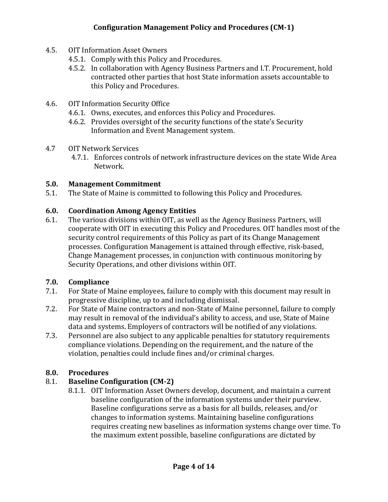- 4.5. OIT Information Asset Owners
	- 4.5.1. Comply with this Policy and Procedures.
	- 4.5.2. In collaboration with Agency Business Partners and I.T. Procurement, hold contracted other parties that host State information assets accountable to this Policy and Procedures.
- 4.6. OIT Information Security Office
	- 4.6.1. Owns, executes, and enforces this Policy and Procedures.
	- 4.6.2. Provides oversight of the security functions of the state's Security Information and Event Management system.
- 4.7 OIT Network Services
	- 4.7.1. Enforces controls of network infrastructure devices on the state Wide Area Network.

#### <span id="page-3-0"></span>**5.0. Management Commitment**

5.1. The State of Maine is committed to following this Policy and Procedures.

#### <span id="page-3-1"></span>**6.0. Coordination Among Agency Entities**

6.1. The various divisions within OIT, as well as the Agency Business Partners, will cooperate with OIT in executing this Policy and Procedures. OIT handles most of the security control requirements of this Policy as part of its Change Management processes. Configuration Management is attained through effective, risk-based, Change Management processes, in conjunction with continuous monitoring by Security Operations, and other divisions within OIT.

#### <span id="page-3-2"></span>**7.0. Compliance**

- 7.1. For State of Maine employees, failure to comply with this document may result in progressive discipline, up to and including dismissal.
- 7.2. For State of Maine contractors and non-State of Maine personnel, failure to comply may result in removal of the individual's ability to access, and use, State of Maine data and systems. Employers of contractors will be notified of any violations.
- 7.3. Personnel are also subject to any applicable penalties for statutory requirements compliance violations. Depending on the requirement, and the nature of the violation, penalties could include fines and/or criminal charges.

#### <span id="page-3-3"></span>**8.0. Procedures**

#### 8.1. **Baseline Configuration (CM-2)**

8.1.1. OIT Information Asset Owners develop, document, and maintain a current baseline configuration of the information systems under their purview. Baseline configurations serve as a basis for all builds, releases, and/or changes to information systems. Maintaining baseline configurations requires creating new baselines as information systems change over time. To the maximum extent possible, baseline configurations are dictated by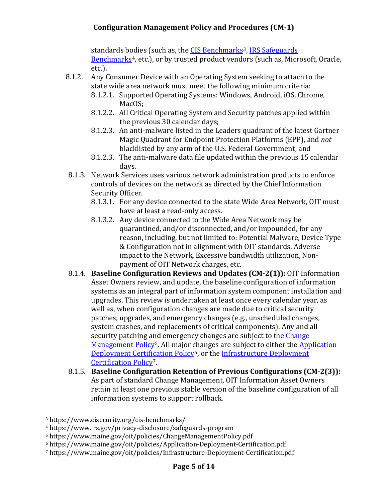standards bodies (such as, the [CIS Benchmarks](https://www.cisecurity.org/cis-benchmarks/)<sup>3</sup>, IRS Safeguards [Benchmarks](https://www.irs.gov/privacy-disclosure/safeguards-program)<sup>[4](#page-4-1)</sup>, etc.), or by trusted product vendors (such as, Microsoft, Oracle, etc.).

- 8.1.2. Any Consumer Device with an Operating System seeking to attach to the state wide area network must meet the following minimum criteria:
	- 8.1.2.1. Supported Operating Systems: Windows, Android, iOS, Chrome, MacOS;
	- 8.1.2.2. All Critical Operating System and Security patches applied within the previous 30 calendar days;
	- 8.1.2.3. An anti-malware listed in the Leaders quadrant of the latest Gartner Magic Quadrant for Endpoint Protection Platforms (EPP), and *not* blacklisted by any arm of the U.S. Federal Government; and
	- 8.1.2.3. The anti-malware data file updated within the previous 15 calendar days.
- 8.1.3. Network Services uses various network administration products to enforce controls of devices on the network as directed by the Chief Information Security Officer.
	- 8.1.3.1. For any device connected to the state Wide Area Network, OIT must have at least a read-only access.
	- 8.1.3.2. Any device connected to the Wide Area Network may be quarantined, and/or disconnected, and/or impounded, for any reason, including, but not limited to: Potential Malware, Device Type & Configuration not in alignment with OIT standards, Adverse impact to the Network, Excessive bandwidth utilization, Nonpayment of OIT Network charges, etc.
- 8.1.4. **Baseline Configuration Reviews and Updates (CM-2(1)):** OIT Information Asset Owners review, and update, the baseline configuration of information systems as an integral part of information system component installation and upgrades. This review is undertaken at least once every calendar year, as well as, when configuration changes are made due to critical security patches, upgrades, and emergency changes (e.g., unscheduled changes, system crashes, and replacements of critical components). Any and all security patching and emergency changes are subject to the Change [Management Policy](https://www.maine.gov/oit/policies/ChangeManagementPolicy.pdf)<sup>[5](#page-4-2)</sup>. All major changes are subject to either the Application [Deployment Certification Policy](https://www.maine.gov/oit/policies/Application-Deployment-Certification.pdf)<sup>6</sup>, or the Infrastructure Deployment [Certification Policy](https://www.maine.gov/oit/policies/Infrastructure-Deployment-Certification.pdf)[7](#page-4-4).
- 8.1.5. **Baseline Configuration Retention of Previous Configurations (CM-2(3)):** As part of standard Change Management, OIT Information Asset Owners retain at least one previous stable version of the baseline configuration of all information systems to support rollback.

<span id="page-4-0"></span><sup>3</sup> https://www.cisecurity.org/cis-benchmarks/

<span id="page-4-1"></span><sup>4</sup> https://www.irs.gov/privacy-disclosure/safeguards-program

<span id="page-4-2"></span><sup>5</sup> https://www.maine.gov/oit/policies/ChangeManagementPolicy.pdf

<span id="page-4-3"></span><sup>6</sup> https://www.maine.gov/oit/policies/Application-Deployment-Certification.pdf

<span id="page-4-4"></span><sup>7</sup> https://www.maine.gov/oit/policies/Infrastructure-Deployment-Certification.pdf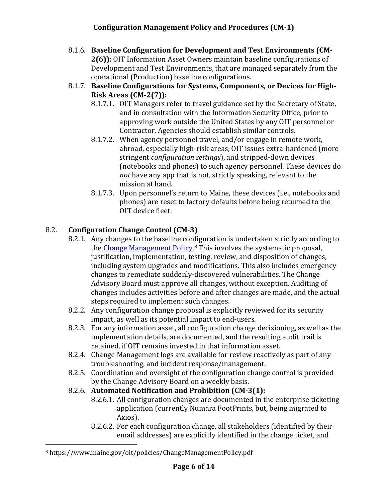- 8.1.6. **Baseline Configuration for Development and Test Environments (CM-2(6)):** OIT Information Asset Owners maintain baseline configurations of Development and Test Environments, that are managed separately from the operational (Production) baseline configurations.
- 8.1.7. **Baseline Configurations for Systems, Components, or Devices for High-Risk Areas (CM-2(7)):**
	- 8.1.7.1. OIT Managers refer to travel guidance set by the Secretary of State, and in consultation with the Information Security Office, prior to approving work outside the United States by any OIT personnel or Contractor. Agencies should establish similar controls.
	- 8.1.7.2. When agency personnel travel, and/or engage in remote work, abroad, especially high-risk areas, OIT issues extra-hardened (more stringent *configuration settings*), and stripped-down devices (notebooks and phones) to such agency personnel. These devices do *not* have any app that is not, strictly speaking, relevant to the mission at hand.
	- 8.1.7.3. Upon personnel's return to Maine, these devices (i.e., notebooks and phones) are reset to factory defaults before being returned to the OIT device fleet.

## 8.2. **Configuration Change Control (CM-3)**

- 8.2.1. Any changes to the baseline configuration is undertaken strictly according to the [Change Management Policy.](https://www.maine.gov/oit/policies/ChangeManagementPolicy.pdf)<sup>[8](#page-5-0)</sup> This involves the systematic proposal, justification, implementation, testing, review, and disposition of changes, including system upgrades and modifications. This also includes emergency changes to remediate suddenly-discovered vulnerabilities. The Change Advisory Board must approve all changes, without exception. Auditing of changes includes activities before and after changes are made, and the actual steps required to implement such changes.
- 8.2.2. Any configuration change proposal is explicitly reviewed for its security impact, as well as its potential impact to end-users.
- 8.2.3. For any information asset, all configuration change decisioning, as well as the implementation details, are documented, and the resulting audit trail is retained, if OIT remains invested in that information asset.
- 8.2.4. Change Management logs are available for review reactively as part of any troubleshooting, and incident response/management.
- 8.2.5. Coordination and oversight of the configuration change control is provided by the Change Advisory Board on a weekly basis.
- 8.2.6. **Automated Notification and Prohibition (CM-3(1):**
	- 8.2.6.1. All configuration changes are documented in the enterprise ticketing application (currently Numara FootPrints, but, being migrated to Axios).
	- 8.2.6.2. For each configuration change, all stakeholders (identified by their email addresses) are explicitly identified in the change ticket, and

<span id="page-5-0"></span><sup>8</sup> https://www.maine.gov/oit/policies/ChangeManagementPolicy.pdf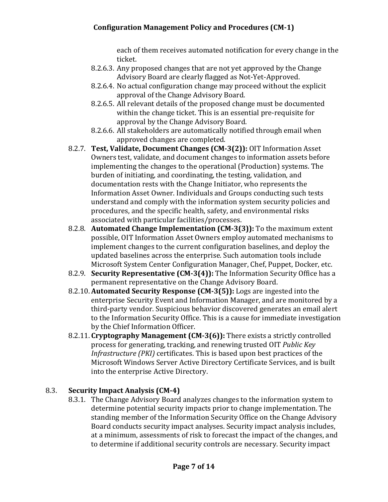each of them receives automated notification for every change in the ticket.

- 8.2.6.3. Any proposed changes that are not yet approved by the Change Advisory Board are clearly flagged as Not-Yet-Approved.
- 8.2.6.4. No actual configuration change may proceed without the explicit approval of the Change Advisory Board.
- 8.2.6.5. All relevant details of the proposed change must be documented within the change ticket. This is an essential pre-requisite for approval by the Change Advisory Board.
- 8.2.6.6. All stakeholders are automatically notified through email when approved changes are completed.
- 8.2.7. **Test, Validate, Document Changes (CM-3(2)):** OIT Information Asset Owners test, validate, and document changes to information assets before implementing the changes to the operational (Production) systems. The burden of initiating, and coordinating, the testing, validation, and documentation rests with the Change Initiator, who represents the Information Asset Owner. Individuals and Groups conducting such tests understand and comply with the information system security policies and procedures, and the specific health, safety, and environmental risks associated with particular facilities/processes.
- 8.2.8. **Automated Change Implementation (CM-3(3)):** To the maximum extent possible, OIT Information Asset Owners employ automated mechanisms to implement changes to the current configuration baselines, and deploy the updated baselines across the enterprise. Such automation tools include Microsoft System Center Configuration Manager, Chef, Puppet, Docker, etc.
- 8.2.9. **Security Representative (CM-3(4)):** The Information Security Office has a permanent representative on the Change Advisory Board.
- 8.2.10. **Automated Security Response (CM-3(5)):** Logs are ingested into the enterprise Security Event and Information Manager, and are monitored by a third-party vendor. Suspicious behavior discovered generates an email alert to the Information Security Office. This is a cause for immediate investigation by the Chief Information Officer.
- 8.2.11. **Cryptography Management (CM-3(6)):** There exists a strictly controlled process for generating, tracking, and renewing trusted OIT *Public Key Infrastructure (PKI)* certificates. This is based upon best practices of the Microsoft Windows Server Active Directory Certificate Services, and is built into the enterprise Active Directory.

## 8.3. **Security Impact Analysis (CM-4)**

8.3.1. The Change Advisory Board analyzes changes to the information system to determine potential security impacts prior to change implementation. The standing member of the Information Security Office on the Change Advisory Board conducts security impact analyses. Security impact analysis includes, at a minimum, assessments of risk to forecast the impact of the changes, and to determine if additional security controls are necessary. Security impact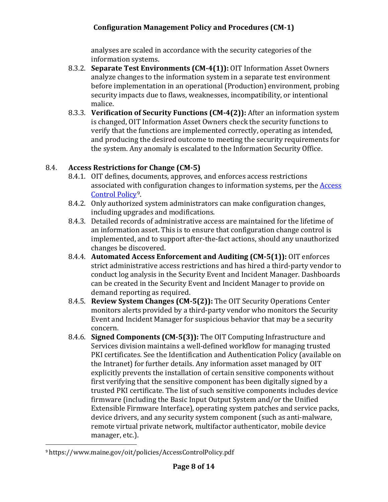analyses are scaled in accordance with the security categories of the information systems.

- 8.3.2. **Separate Test Environments (CM-4(1)):** OIT Information Asset Owners analyze changes to the information system in a separate test environment before implementation in an operational (Production) environment, probing security impacts due to flaws, weaknesses, incompatibility, or intentional malice.
- 8.3.3. **Verification of Security Functions (CM-4(2)):** After an information system is changed, OIT Information Asset Owners check the security functions to verify that the functions are implemented correctly, operating as intended, and producing the desired outcome to meeting the security requirements for the system. Any anomaly is escalated to the Information Security Office.

## 8.4. **Access Restrictions for Change (CM-5)**

- 8.4.1. OIT defines, documents, approves, and enforces access restrictions associated with configuration changes to information systems, per the [Access](https://www.maine.gov/oit/policies/AccessControlPolicy.pdf)  [Control Policy](https://www.maine.gov/oit/policies/AccessControlPolicy.pdf)[9](#page-7-0).
- 8.4.2. Only authorized system administrators can make configuration changes, including upgrades and modifications.
- 8.4.3. Detailed records of administrative access are maintained for the lifetime of an information asset. This is to ensure that configuration change control is implemented, and to support after-the-fact actions, should any unauthorized changes be discovered.
- 8.4.4. **Automated Access Enforcement and Auditing (CM-5(1)):** OIT enforces strict administrative access restrictions and has hired a third-party vendor to conduct log analysis in the Security Event and Incident Manager. Dashboards can be created in the Security Event and Incident Manager to provide on demand reporting as required.
- 8.4.5. **Review System Changes (CM-5(2)):** The OIT Security Operations Center monitors alerts provided by a third-party vendor who monitors the Security Event and Incident Manager for suspicious behavior that may be a security concern.
- 8.4.6. **Signed Components (CM-5(3)):** The OIT Computing Infrastructure and Services division maintains a well-defined workflow for managing trusted PKI certificates. See the Identification and Authentication Policy (available on the Intranet) for further details. Any information asset managed by OIT explicitly prevents the installation of certain sensitive components without first verifying that the sensitive component has been digitally signed by a trusted PKI certificate. The list of such sensitive components includes device firmware (including the Basic Input Output System and/or the Unified Extensible Firmware Interface), operating system patches and service packs, device drivers, and any security system component (such as anti-malware, remote virtual private network, multifactor authenticator, mobile device manager, etc.).

<span id="page-7-0"></span><sup>9</sup> https://www.maine.gov/oit/policies/AccessControlPolicy.pdf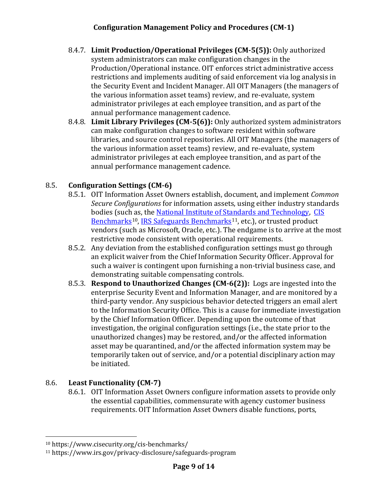- 8.4.7. **Limit Production/Operational Privileges (CM-5(5)):** Only authorized system administrators can make configuration changes in the Production/Operational instance. OIT enforces strict administrative access restrictions and implements auditing of said enforcement via log analysis in the Security Event and Incident Manager. All OIT Managers (the managers of the various information asset teams) review, and re-evaluate, system administrator privileges at each employee transition, and as part of the annual performance management cadence.
- 8.4.8. **Limit Library Privileges (CM-5(6)):** Only authorized system administrators can make configuration changes to software resident within software libraries, and source control repositories. All OIT Managers (the managers of the various information asset teams) review, and re-evaluate, system administrator privileges at each employee transition, and as part of the annual performance management cadence.

## 8.5. **Configuration Settings (CM-6)**

- 8.5.1. OIT Information Asset Owners establish, document, and implement *Common Secure Configurations* for information assets, using either industry standards bodies (such as, the [National Institute of Standards and Technology,](https://www.nist.gov/) [CIS](https://www.cisecurity.org/cis-benchmarks/)  [Benchmarks](https://www.cisecurity.org/cis-benchmarks/)<sup>[10](#page-8-0)</sup>, [IRS Safeguards Benchmarks](https://www.irs.gov/privacy-disclosure/safeguards-program)<sup>[11](#page-8-1)</sup>, etc.), or trusted product vendors (such as Microsoft, Oracle, etc.). The endgame is to arrive at the most restrictive mode consistent with operational requirements.
- 8.5.2. Any deviation from the established configuration settings must go through an explicit waiver from the Chief Information Security Officer. Approval for such a waiver is contingent upon furnishing a non-trivial business case, and demonstrating suitable compensating controls.
- 8.5.3. **Respond to Unauthorized Changes (CM-6(2)):** Logs are ingested into the enterprise Security Event and Information Manager, and are monitored by a third-party vendor. Any suspicious behavior detected triggers an email alert to the Information Security Office. This is a cause for immediate investigation by the Chief Information Officer. Depending upon the outcome of that investigation, the original configuration settings (i.e., the state prior to the unauthorized changes) may be restored, and/or the affected information asset may be quarantined, and/or the affected information system may be temporarily taken out of service, and/or a potential disciplinary action may be initiated.

## 8.6. **Least Functionality (CM-7)**

8.6.1. OIT Information Asset Owners configure information assets to provide only the essential capabilities, commensurate with agency customer business requirements. OIT Information Asset Owners disable functions, ports,

<span id="page-8-0"></span><sup>10</sup> https://www.cisecurity.org/cis-benchmarks/

<span id="page-8-1"></span><sup>11</sup> https://www.irs.gov/privacy-disclosure/safeguards-program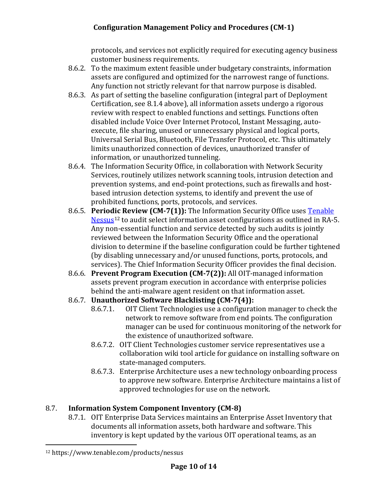protocols, and services not explicitly required for executing agency business customer business requirements.

- 8.6.2. To the maximum extent feasible under budgetary constraints, information assets are configured and optimized for the narrowest range of functions. Any function not strictly relevant for that narrow purpose is disabled.
- 8.6.3. As part of setting the baseline configuration (integral part of Deployment Certification, see 8.1.4 above), all information assets undergo a rigorous review with respect to enabled functions and settings. Functions often disabled include Voice Over Internet Protocol, Instant Messaging, autoexecute, file sharing, unused or unnecessary physical and logical ports, Universal Serial Bus, Bluetooth, File Transfer Protocol, etc. This ultimately limits unauthorized connection of devices, unauthorized transfer of information, or unauthorized tunneling.
- 8.6.4. The Information Security Office, in collaboration with Network Security Services, routinely utilizes network scanning tools, intrusion detection and prevention systems, and end-point protections, such as firewalls and hostbased intrusion detection systems, to identify and prevent the use of prohibited functions, ports, protocols, and services.
- 8.6.5. **Periodic Review (CM-7(1)):** The Information Security Office uses [Tenable](https://www.tenable.com/products/nessus)   $Nessus<sup>12</sup>$  $Nessus<sup>12</sup>$  $Nessus<sup>12</sup>$  $Nessus<sup>12</sup>$  to audit select information asset configurations as outlined in RA-5. Any non-essential function and service detected by such audits is jointly reviewed between the Information Security Office and the operational division to determine if the baseline configuration could be further tightened (by disabling unnecessary and/or unused functions, ports, protocols, and services). The Chief Information Security Officer provides the final decision.
- 8.6.6. **Prevent Program Execution (CM-7(2)):** All OIT-managed information assets prevent program execution in accordance with enterprise policies behind the anti-malware agent resident on that information asset.

# 8.6.7. **Unauthorized Software Blacklisting (CM-7(4)):**

- 8.6.7.1. OIT Client Technologies use a configuration manager to check the network to remove software from end points. The configuration manager can be used for continuous monitoring of the network for the existence of unauthorized software.
- 8.6.7.2. OIT Client Technologies customer service representatives use a collaboration wiki tool article for guidance on installing software on state-managed computers.
- 8.6.7.3. Enterprise Architecture uses a new technology onboarding process to approve new software. Enterprise Architecture maintains a list of approved technologies for use on the network.

## 8.7. **Information System Component Inventory (CM-8)**

8.7.1. OIT Enterprise Data Services maintains an Enterprise Asset Inventory that documents all information assets, both hardware and software. This inventory is kept updated by the various OIT operational teams, as an

<span id="page-9-0"></span><sup>12</sup> https://www.tenable.com/products/nessus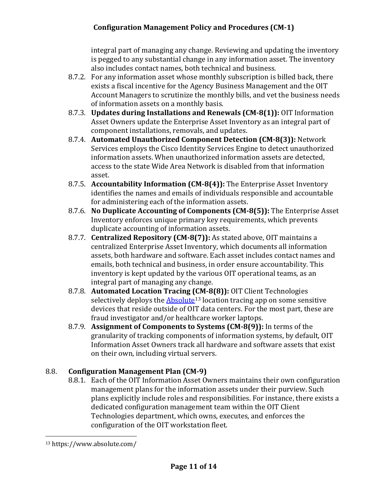integral part of managing any change. Reviewing and updating the inventory is pegged to any substantial change in any information asset. The inventory also includes contact names, both technical and business.

- 8.7.2. For any information asset whose monthly subscription is billed back, there exists a fiscal incentive for the Agency Business Management and the OIT Account Managers to scrutinize the monthly bills, and vet the business needs of information assets on a monthly basis.
- 8.7.3. **Updates during Installations and Renewals (CM-8(1)):** OIT Information Asset Owners update the Enterprise Asset Inventory as an integral part of component installations, removals, and updates.
- 8.7.4. **Automated Unauthorized Component Detection (CM-8(3)):** Network Services employs the Cisco Identity Services Engine to detect unauthorized information assets. When unauthorized information assets are detected, access to the state Wide Area Network is disabled from that information asset.
- 8.7.5. **Accountability Information (CM-8(4)):** The Enterprise Asset Inventory identifies the names and emails of individuals responsible and accountable for administering each of the information assets.
- 8.7.6. **No Duplicate Accounting of Components (CM-8(5)):** The Enterprise Asset Inventory enforces unique primary key requirements, which prevents duplicate accounting of information assets.
- 8.7.7. **Centralized Repository (CM-8(7)):** As stated above, OIT maintains a centralized Enterprise Asset Inventory, which documents all information assets, both hardware and software. Each asset includes contact names and emails, both technical and business, in order ensure accountability. This inventory is kept updated by the various OIT operational teams, as an integral part of managing any change.
- 8.7.8. **Automated Location Tracing (CM-8(8)):** OIT Client Technologies selectively deploys the  $\Delta$ bsolute<sup>[13](#page-10-0)</sup> location tracing app on some sensitive devices that reside outside of OIT data centers. For the most part, these are fraud investigator and/or healthcare worker laptops.
- 8.7.9. **Assignment of Components to Systems (CM-8(9)):** In terms of the granularity of tracking components of information systems, by default, OIT Information Asset Owners track all hardware and software assets that exist on their own, including virtual servers.

## 8.8. **Configuration Management Plan (CM-9)**

8.8.1. Each of the OIT Information Asset Owners maintains their own configuration management plans for the information assets under their purview. Such plans explicitly include roles and responsibilities. For instance, there exists a dedicated configuration management team within the OIT Client Technologies department, which owns, executes, and enforces the configuration of the OIT workstation fleet.

<span id="page-10-0"></span><sup>13</sup> https://www.absolute.com/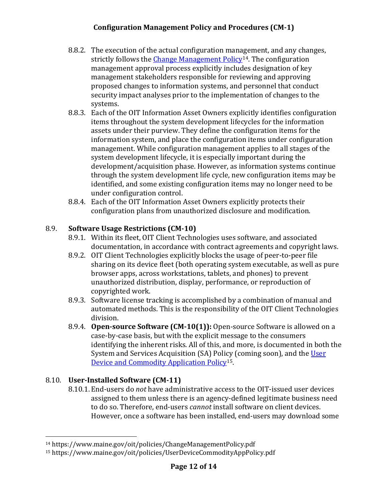- 8.8.2. The execution of the actual configuration management, and any changes, strictly follows the [Change Management Policy](https://www.maine.gov/oit/policies/ChangeManagementPolicy.pdf)<sup>[14](#page-11-0)</sup>. The configuration management approval process explicitly includes designation of key management stakeholders responsible for reviewing and approving proposed changes to information systems, and personnel that conduct security impact analyses prior to the implementation of changes to the systems.
- 8.8.3. Each of the OIT Information Asset Owners explicitly identifies configuration items throughout the system development lifecycles for the information assets under their purview. They define the configuration items for the information system, and place the configuration items under configuration management. While configuration management applies to all stages of the system development lifecycle, it is especially important during the development/acquisition phase. However, as information systems continue through the system development life cycle, new configuration items may be identified, and some existing configuration items may no longer need to be under configuration control.
- 8.8.4. Each of the OIT Information Asset Owners explicitly protects their configuration plans from unauthorized disclosure and modification.

#### 8.9. **Software Usage Restrictions (CM-10)**

- 8.9.1. Within its fleet, OIT Client Technologies uses software, and associated documentation, in accordance with contract agreements and copyright laws.
- 8.9.2. OIT Client Technologies explicitly blocks the usage of peer-to-peer file sharing on its device fleet (both operating system executable, as well as pure browser apps, across workstations, tablets, and phones) to prevent unauthorized distribution, display, performance, or reproduction of copyrighted work.
- 8.9.3. Software license tracking is accomplished by a combination of manual and automated methods. This is the responsibility of the OIT Client Technologies division.
- 8.9.4. **Open-source Software (CM-10(1)):** Open-source Software is allowed on a case-by-case basis, but with the explicit message to the consumers identifying the inherent risks. All of this, and more, is documented in both the System and Services Acquisition (SA) Policy (coming soon), and th[e User](https://www.maine.gov/oit/policies/UserDeviceCommodityAppPolicy.pdf)  [Device and Commodity Application Policy](https://www.maine.gov/oit/policies/UserDeviceCommodityAppPolicy.pdf)<sup>[15](#page-11-1)</sup>.

## 8.10. **User-Installed Software (CM-11)**

8.10.1. End-users do *not* have administrative access to the OIT-issued user devices assigned to them unless there is an agency-defined legitimate business need to do so. Therefore, end-users *cannot* install software on client devices. However, once a software has been installed, end-users may download some

<span id="page-11-0"></span><sup>14</sup> https://www.maine.gov/oit/policies/ChangeManagementPolicy.pdf

<span id="page-11-1"></span><sup>15</sup> https://www.maine.gov/oit/policies/UserDeviceCommodityAppPolicy.pdf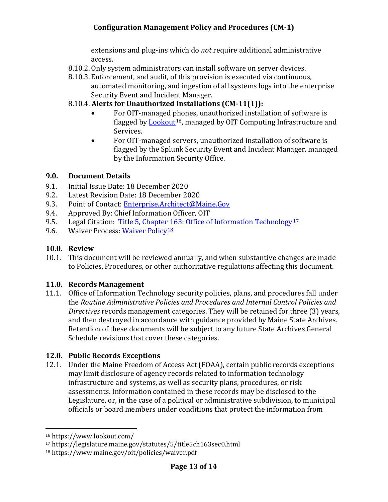extensions and plug-ins which do *not* require additional administrative access.

- 8.10.2. Only system administrators can install software on server devices.
- 8.10.3. Enforcement, and audit, of this provision is executed via continuous, automated monitoring, and ingestion of all systems logs into the enterprise Security Event and Incident Manager.
- 8.10.4. **Alerts for Unauthorized Installations (CM-11(1)):**
	- For OIT-managed phones, unauthorized installation of software is flagged by [Lookout](https://www.lookout.com/)<sup>16</sup>, managed by OIT Computing Infrastructure and Services.
	- For OIT-managed servers, unauthorized installation of software is flagged by the Splunk Security Event and Incident Manager, managed by the Information Security Office.

#### <span id="page-12-0"></span>**9.0. Document Details**

- 9.1. Initial Issue Date: 18 December 2020<br>9.2. Latest Revision Date: 18 December 20
- 9.2. Latest Revision Date: 18 December 2020<br>9.3. Point of Contact: Enterprise.Architect@M
- 9.3. Point of Contact: **[Enterprise.Architect@Maine.Gov](mailto:Enterprise.Architect@Maine.Gov)**<br>9.4. Approved By: Chief Information Officer, OIT
- 9.4. Approved By: Chief Information Officer, OIT<br>9.5. Legal Citation: Title 5, Chapter 163: Office of
- 9.5. Legal Citation: Title 5, Chapter 163: [Office of Information](https://legislature.maine.gov/statutes/5/title5ch163sec0.html) Technology<sup>[17](#page-12-5)</sup><br>9.6. Waiver Process: Waiver Policy<sup>18</sup>
- Waiver Process: [Waiver](http://www.maine.gov/oit/policies/waiver.pdf) Policy<sup>[18](#page-12-6)</sup>

### <span id="page-12-1"></span>**10.0. Review**

10.1. This document will be reviewed annually, and when substantive changes are made to Policies, Procedures, or other authoritative regulations affecting this document.

#### <span id="page-12-2"></span>**11.0. Records Management**

11.1. Office of Information Technology security policies, plans, and procedures fall under the *Routine Administrative Policies and Procedures and Internal Control Policies and Directives* records management categories. They will be retained for three (3) years, and then destroyed in accordance with guidance provided by Maine State Archives. Retention of these documents will be subject to any future State Archives General Schedule revisions that cover these categories.

## <span id="page-12-3"></span>**12.0. Public Records Exceptions**

12.1. Under the Maine Freedom of Access Act (FOAA), certain public records exceptions may limit disclosure of agency records related to information technology infrastructure and systems, as well as security plans, procedures, or risk assessments. Information contained in these records may be disclosed to the Legislature, or, in the case of a political or administrative subdivision, to municipal officials or board members under conditions that protect the information from

<span id="page-12-4"></span><sup>16</sup> https://www.lookout.com/

<span id="page-12-5"></span><sup>17</sup> https://legislature.maine.gov/statutes/5/title5ch163sec0.html

<span id="page-12-6"></span><sup>18</sup> https://www.maine.gov/oit/policies/waiver.pdf